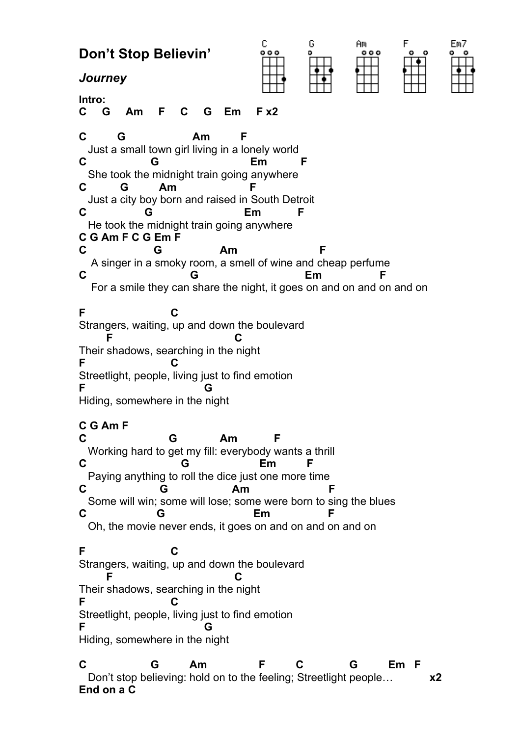**Don't Stop Believin'** 

|           |  |  | G |  |  |  |  |
|-----------|--|--|---|--|--|--|--|
| <b>。。</b> |  |  | ۰ |  |  |  |  |
|           |  |  |   |  |  |  |  |
|           |  |  |   |  |  |  |  |
|           |  |  |   |  |  |  |  |
|           |  |  |   |  |  |  |  |

C

| ĤM        |  |  |  |  |  |  |  |  |
|-----------|--|--|--|--|--|--|--|--|
| <b>。。</b> |  |  |  |  |  |  |  |  |
|           |  |  |  |  |  |  |  |  |
|           |  |  |  |  |  |  |  |  |
|           |  |  |  |  |  |  |  |  |
|           |  |  |  |  |  |  |  |  |
|           |  |  |  |  |  |  |  |  |

| Em7 |  |  |  |  |  |
|-----|--|--|--|--|--|
|     |  |  |  |  |  |
|     |  |  |  |  |  |
|     |  |  |  |  |  |
|     |  |  |  |  |  |
|     |  |  |  |  |  |

*Journey* 

**End on a C**

**Intro: C G Am F C G Em F x2 C G Am F** Just a small town girl living in a lonely world **C G Em F** She took the midnight train going anywhere **C G Am F** Just a city boy born and raised in South Detroit **C G Em F** He took the midnight train going anywhere **C G Am F C G Em F C G Am F** A singer in a smoky room, a smell of wine and cheap perfume **C G Em F** For a smile they can share the night, it goes on and on and on and on **F C** Strangers, waiting, up and down the boulevard  **F C** Their shadows, searching in the night **F C** Streetlight, people, living just to find emotion **F G** Hiding, somewhere in the night **C G Am F C G Am F** Working hard to get my fill: everybody wants a thrill **C G Em F** Paying anything to roll the dice just one more time **C G Am F** Some will win; some will lose; some were born to sing the blues **C G Em F** Oh, the movie never ends, it goes on and on and on and on **F C** Strangers, waiting, up and down the boulevard  **F C** Their shadows, searching in the night **F C** Streetlight, people, living just to find emotion **F G** Hiding, somewhere in the night **C G Am F C G Em F** Don't stop believing: hold on to the feeling; Streetlight people… **x2**